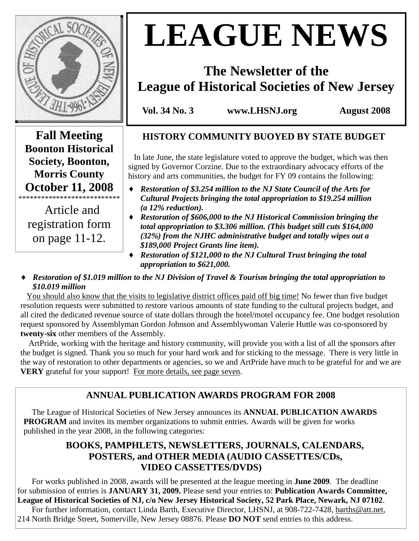

# **LEAGUE NEWS**

# **The Newsletter of the League of Historical Societies of New Jersey**

**Vol. 34 No. 3 www.LHSNJ.org August 2008** 

**Fall Meeting Boonton Historical Society, Boonton, Morris County October 11, 2008**  \*\*\*\*\*\*\*\*\*\*\*\*\*\*\*\*\*\*\*\*\*\*\*\*\*\*\*

 Article and registration form on page 11-12.

# **HISTORY COMMUNITY BUOYED BY STATE BUDGET**

 In late June, the state legislature voted to approve the budget, which was then signed by Governor Corzine. Due to the extraordinary advocacy efforts of the history and arts communities, the budget for FY 09 contains the following:

- ♦ *Restoration of \$3.254 million to the NJ State Council of the Arts for Cultural Projects bringing the total appropriation to \$19.254 million (a 12% reduction).*
- ♦ *Restoration of \$606,000 to the NJ Historical Commission bringing the total appropriation to \$3.306 million. (This budget still cuts \$164,000 (32%) from the NJHC administrative budget and totally wipes out a \$189,000 Project Grants line item).*
- ♦ *Restoration of \$121,000 to the NJ Cultural Trust bringing the total appropriation to \$621,000.*
- ♦ *Restoration of \$1.019 million to the NJ Division of Travel & Tourism bringing the total appropriation to \$10.019 million*

 You should also know that the visits to legislative district offices paid off big time! No fewer than five budget resolution requests were submitted to restore various amounts of state funding to the cultural projects budget, and all cited the dedicated revenue source of state dollars through the hotel/motel occupancy fee. One budget resolution request sponsored by Assemblyman Gordon Johnson and Assemblywoman Valerie Huttle was co-sponsored by **twenty-six** other members of the Assembly.

 ArtPride, working with the heritage and history community, will provide you with a list of all the sponsors after the budget is signed. Thank you so much for your hard work and for sticking to the message. There is very little in the way of restoration to other departments or agencies, so we and ArtPride have much to be grateful for and we are **VERY** grateful for your support! For more details, see page seven.

# **ANNUAL PUBLICATION AWARDS PROGRAM FOR 2008**

 The League of Historical Societies of New Jersey announces its **ANNUAL PUBLICATION AWARDS PROGRAM** and invites its member organizations to submit entries. Awards will be given for works published in the year 2008, in the following categories:

# **BOOKS, PAMPHLETS, NEWSLETTERS, JOURNALS, CALENDARS, POSTERS, and OTHER MEDIA (AUDIO CASSETTES/CDs, VIDEO CASSETTES/DVDS)**

 For works published in 2008, awards will be presented at the league meeting in **June 2009**. The deadline for submission of entries is **JANUARY 31, 2009.** Please send your entries to: **Publication Awards Committee, League of Historical Societies of NJ, c/o New Jersey Historical Society, 52 Park Place, Newark, NJ 07102**.

 For further information, contact Linda Barth, Executive Director, LHSNJ, at 908-722-7428, barths@att.net, 214 North Bridge Street, Somerville, New Jersey 08876. Please **DO NOT** send entries to this address.

 $\overline{a}$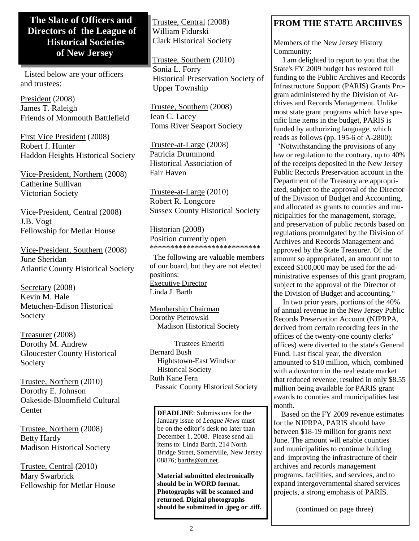# **The Slate of Officers and Directors of the League of Historical Societies of New Jersey**

 Listed below are your officers and trustees:

President (2008) James T. Raleigh Friends of Monmouth Battlefield

First Vice President (2008) Robert J. Hunter Haddon Heights Historical Society

Vice-President, Northern (2008) Catherine Sullivan Victorian Society

Vice-President, Central (2008) J.B. Vogt Fellowship for Metlar House

Vice-President, Southern (2008) June Sheridan Atlantic County Historical Society

Secretary (2008) Kevin M. Hale Metuchen-Edison Historical Society

Treasurer (2008) Dorothy M. Andrew Gloucester County Historical Society

Trustee, Northern (2010) Dorothy E. Johnson Oakeside-Bloomfield Cultural **Center** 

Trustee, Northern (2008) Betty Hardy Madison Historical Society

Trustee, Central (2010) Mary Swarbrick Fellowship for Metlar House Trustee, Central (2008) William Fidurski Clark Historical Society

Trustee, Southern (2010) Sonia L. Forry Historical Preservation Society of Upper Township

Trustee, Southern (2008) Jean C. Lacey Toms River Seaport Society

Trustee-at-Large (2008) Patricia Drummond Historical Association of Fair Haven

Trustee-at-Large (2010) Robert R. Longcore Sussex County Historical Society

Historian (2008) Position currently open \*\*\*\*\*\*\*\*\*\*\*\*\*\*\*\*\*\*\*\*\*\*\*\*\*\*\*

 The following are valuable members of our board, but they are not elected positions: Executive Director Linda J. Barth

Membership Chairman Dorothy Pietrowski Madison Historical Society

 Trustees Emeriti Bernard Bush Hightstown-East Windsor Historical Society Ruth Kane Fern Passaic County Historical Society

**DEADLINE**: Submissions for the January issue of *League News* must be on the editor's desk no later than December 1, 2008. Please send all items to: Linda Barth, 214 North Bridge Street, Somerville, New Jersey 08876; barths@att.net.

**Material submitted electronically should be in WORD format. Photographs will be scanned and returned. Digital photographs should be submitted in .jpeg or .tiff.** 

# **FROM THE STATE ARCHIVES**

Members of the New Jersey History Community:

 I am delighted to report to you that the State's FY 2009 budget has restored full funding to the Public Archives and Records Infrastructure Support (PARIS) Grants Program administered by the Division of Archives and Records Management. Unlike most state grant programs which have specific line items in the budget, PARIS is funded by authorizing language, which reads as follows (pp. 195-6 of A-2800):

 "Notwithstanding the provisions of any law or regulation to the contrary, up to 40% of the receipts deposited in the New Jersey Public Records Preservation account in the Department of the Treasury are appropriated, subject to the approval of the Director of the Division of Budget and Accounting, and allocated as grants to counties and municipalities for the management, storage, and preservation of public records based on regulations promulgated by the Division of Archives and Records Management and approved by the State Treasurer. Of the amount so appropriated, an amount not to exceed \$100,000 may be used for the administrative expenses of this grant program, subject to the approval of the Director of the Division of Budget and accounting."

 In two prior years, portions of the 40% of annual revenue in the New Jersey Public Records Preservation Account (NJPRPA, derived from certain recording fees in the offices of the twenty-one county clerks' offices) were diverted to the state's General Fund. Last fiscal year, the diversion amounted to \$10 million, which, combined with a downturn in the real estate market that reduced revenue, resulted in only \$8.55 million being available for PARIS grant awards to counties and municipalities last month.

 Based on the FY 2009 revenue estimates for the NJPRPA, PARIS should have between \$18-19 million for grants next June. The amount will enable counties and municipalities to continue building and improving the infrastructure of their archives and records management programs, facilities, and services, and to expand intergovernmental shared services projects, a strong emphasis of PARIS.

(continued on page three)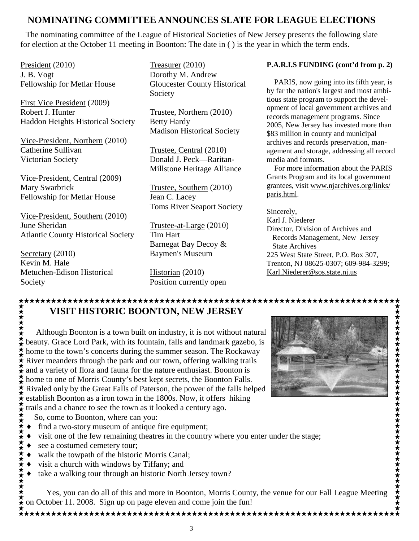# **NOMINATING COMMITTEE ANNOUNCES SLATE FOR LEAGUE ELECTIONS**

 The nominating committee of the League of Historical Societies of New Jersey presents the following slate for election at the October 11 meeting in Boonton: The date in ( ) is the year in which the term ends.

President (2010) J. B. Vogt Fellowship for Metlar House

First Vice President (2009) Robert J. Hunter Haddon Heights Historical Society

Vice-President, Northern (2010) Catherine Sullivan Victorian Society

Vice-President, Central (2009) Mary Swarbrick Fellowship for Metlar House

Vice-President, Southern (2010) June Sheridan Atlantic County Historical Society

Secretary (2010) Kevin M. Hale Metuchen-Edison Historical Society

Treasurer (2010) Dorothy M. Andrew Gloucester County Historical Society

Trustee, Northern (2010) Betty Hardy Madison Historical Society

Trustee, Central (2010) Donald J. Peck—Raritan-Millstone Heritage Alliance

Trustee, Southern (2010) Jean C. Lacey Toms River Seaport Society

Trustee-at-Large (2010) Tim Hart Barnegat Bay Decoy & Baymen's Museum

Historian (2010) Position currently open

#### **P.A.R.I.S FUNDING (cont'd from p. 2)**

 PARIS, now going into its fifth year, is by far the nation's largest and most ambitious state program to support the development of local government archives and records management programs. Since 2005, New Jersey has invested more than \$83 million in county and municipal archives and records preservation, management and storage, addressing all record media and formats.

 For more information about the PARIS Grants Program and its local government grantees, visit www.njarchives.org/links/ paris.html.

Sincerely,

Karl J. Niederer Director, Division of Archives and Records Management, New Jersey State Archives 225 West State Street, P.O. Box 307,

Trenton, NJ 08625-0307; 609-984-3299; Karl.Niederer@sos.state.nj.us

# **VISIT HISTORIC BOONTON, NEW JERSEY**

 Although Boonton is a town built on industry, it is not without natural beauty. Grace Lord Park, with its fountain, falls and landmark gazebo, is home to the town's concerts during the summer season. The Rockaway River meanders through the park and our town, offering walking trails and a variety of flora and fauna for the nature enthusiast. Boonton is home to one of Morris County's best kept secrets, the Boonton Falls. Rivaled only by the Great Falls of Paterson, the power of the falls helped establish Boonton as a iron town in the 1800s. Now, it offers hiking trails and a chance to see the town as it looked a century ago.

So, come to Boonton, where can you:

- ♦ find a two-story museum of antique fire equipment;
- visit one of the few remaining theatres in the country where you enter under the stage;
- see a costumed cemetery tour;
- ♦ walk the towpath of the historic Morris Canal;
- ♦ visit a church with windows by Tiffany; and
- ♦ take a walking tour through an historic North Jersey town?

 Yes, you can do all of this and more in Boonton, Morris County, the venue for our Fall League Meeting on October 11. 2008. Sign up on page eleven and come join the fun!

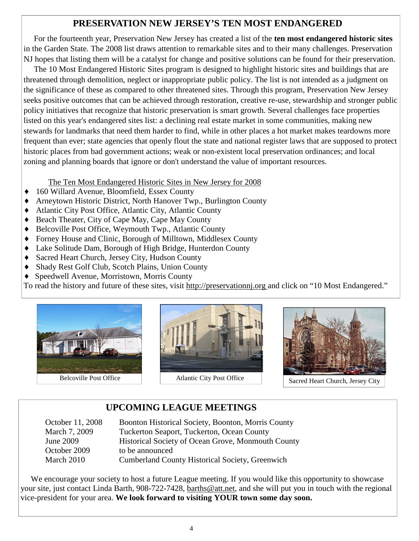# **PRESERVATION NEW JERSEY'S TEN MOST ENDANGERED**

 For the fourteenth year, Preservation New Jersey has created a list of the **ten most endangered historic sites**  in the Garden State*.* The 2008 list draws attention to remarkable sites and to their many challenges. Preservation NJ hopes that listing them will be a catalyst for change and positive solutions can be found for their preservation.

 The 10 Most Endangered Historic Sites program is designed to highlight historic sites and buildings that are threatened through demolition, neglect or inappropriate public policy. The list is not intended as a judgment on the significance of these as compared to other threatened sites. Through this program, Preservation New Jersey seeks positive outcomes that can be achieved through restoration, creative re-use, stewardship and stronger public policy initiatives that recognize that historic preservation is smart growth. Several challenges face properties listed on this year's endangered sites list: a declining real estate market in some communities, making new stewards for landmarks that need them harder to find, while in other places a hot market makes teardowns more frequent than ever; state agencies that openly flout the state and national register laws that are supposed to protect historic places from bad government actions; weak or non-existent local preservation ordinances; and local zoning and planning boards that ignore or don't understand the value of important resources.

The Ten Most Endangered Historic Sites in New Jersey for 2008

- ♦ 160 Willard Avenue, Bloomfield, Essex County
- Arneytown Historic District, North Hanover Twp., Burlington County
- ♦ Atlantic City Post Office, Atlantic City, Atlantic County
- ◆ Beach Theater, City of Cape May, Cape May County
- Belcoville Post Office, Weymouth Twp., Atlantic County
- ♦ Forney House and Clinic, Borough of Milltown, Middlesex County
- ♦ Lake Solitude Dam, Borough of High Bridge, Hunterdon County
- ♦ Sacred Heart Church, Jersey City, Hudson County
- ♦ Shady Rest Golf Club, Scotch Plains, Union County
- ♦ Speedwell Avenue, Morristown, Morris County

To read the history and future of these sites, visit http://preservationnj.org and click on "10 Most Endangered."







# **UPCOMING LEAGUE MEETINGS**

| Boonton Historical Society, Boonton, Morris County     |
|--------------------------------------------------------|
| Tuckerton Seaport, Tuckerton, Ocean County             |
| Historical Society of Ocean Grove, Monmouth County     |
| to be announced                                        |
| <b>Cumberland County Historical Society, Greenwich</b> |
|                                                        |

We encourage your society to host a future League meeting. If you would like this opportunity to showcase your site, just contact Linda Barth, 908-722-7428, barths@att.net, and she will put you in touch with the regional vice-president for your area. **We look forward to visiting YOUR town some day soon.**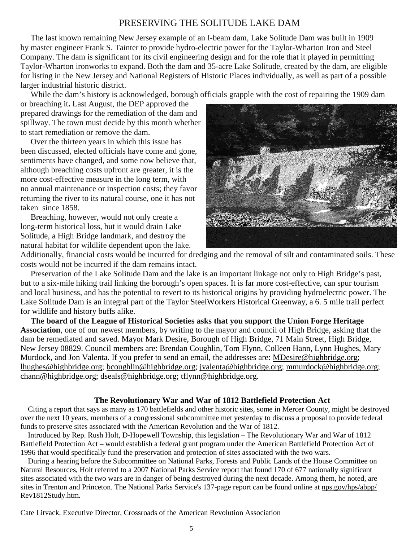#### PRESERVING THE SOLITUDE LAKE DAM

 The last known remaining New Jersey example of an I-beam dam, Lake Solitude Dam was built in 1909 by master engineer Frank S. Tainter to provide hydro-electric power for the Taylor-Wharton Iron and Steel Company. The dam is significant for its civil engineering design and for the role that it played in permitting Taylor-Wharton ironworks to expand. Both the dam and 35-acre Lake Solitude, created by the dam, are eligible for listing in the New Jersey and National Registers of Historic Places individually, as well as part of a possible larger industrial historic district.

While the dam's history is acknowledged, borough officials grapple with the cost of repairing the 1909 dam

or breaching it**.** Last August, the DEP approved the prepared drawings for the remediation of the dam and spillway. The town must decide by this month whether to start remediation or remove the dam.

 Over the thirteen years in which this issue has been discussed, elected officials have come and gone, sentiments have changed, and some now believe that, although breaching costs upfront are greater, it is the more cost-effective measure in the long term, with no annual maintenance or inspection costs; they favor returning the river to its natural course, one it has not taken since 1858.

 Breaching, however, would not only create a long-term historical loss, but it would drain Lake Solitude, a High Bridge landmark, and destroy the natural habitat for wildlife dependent upon the lake.



Additionally, financial costs would be incurred for dredging and the removal of silt and contaminated soils. These costs would not be incurred if the dam remains intact.

 Preservation of the Lake Solitude Dam and the lake is an important linkage not only to High Bridge's past, but to a six-mile hiking trail linking the borough's open spaces. It is far more cost-effective, can spur tourism and local business, and has the potential to revert to its historical origins by providing hydroelectric power. The Lake Solitude Dam is an integral part of the Taylor SteelWorkers Historical Greenway, a 6. 5 mile trail perfect for wildlife and history buffs alike.

 **The board of the League of Historical Societies asks that you support the Union Forge Heritage Association**, one of our newest members, by writing to the mayor and council of High Bridge, asking that the dam be remediated and saved. Mayor Mark Desire, Borough of High Bridge, 71 Main Street, High Bridge, New Jersey 08829. Council members are: Brendan Coughlin, Tom Flynn, Colleen Hann, Lynn Hughes, Mary Murdock, and Jon Valenta. If you prefer to send an email, the addresses are: MDesire@highbridge.org; lhughes@highbridge.org; bcoughlin@highbridge.org; jvalenta@highbridge.org; mmurdock@highbridge.org; chann@highbridge.org; dseals@highbridge.org; tflynn@highbridge.org.

#### **The Revolutionary War and War of 1812 Battlefield Protection Act**

 Citing a report that says as many as 170 battlefields and other historic sites, some in Mercer County, might be destroyed over the next 10 years, members of a congressional subcommittee met yesterday to discuss a proposal to provide federal funds to preserve sites associated with the American Revolution and the War of 1812.

 Introduced by Rep. Rush Holt, D-Hopewell Township, this legislation – The Revolutionary War and War of 1812 Battlefield Protection Act – would establish a federal grant program under the American Battlefield Protection Act of 1996 that would specifically fund the preservation and protection of sites associated with the two wars.

 During a hearing before the Subcommittee on National Parks, Forests and Public Lands of the House Committee on Natural Resources, Holt referred to a 2007 National Parks Service report that found 170 of 677 nationally significant sites associated with the two wars are in danger of being destroyed during the next decade. Among them, he noted, are sites in Trenton and Princeton. The National Parks Service's 137-page report can be found online at nps.gov/hps/abpp/ Rev1812Study.htm.

Cate Litvack, Executive Director, Crossroads of the American Revolution Association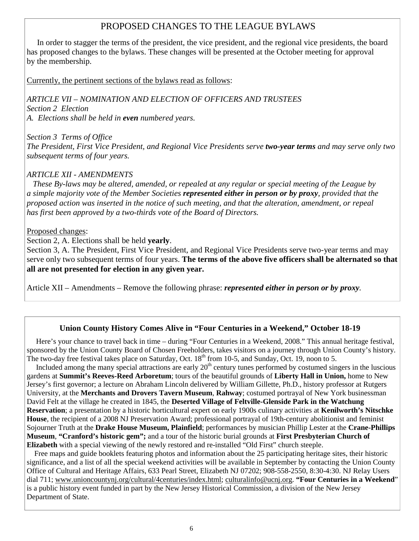## PROPOSED CHANGES TO THE LEAGUE BYLAWS

 In order to stagger the terms of the president, the vice president, and the regional vice presidents, the board has proposed changes to the bylaws. These changes will be presented at the October meeting for approval by the membership.

Currently, the pertinent sections of the bylaws read as follows:

*ARTICLE VII – NOMINATION AND ELECTION OF OFFICERS AND TRUSTEES Section 2 Election A. Elections shall be held in even numbered years.* 

*Section 3 Terms of Office The President, First Vice President, and Regional Vice Presidents serve two-year terms and may serve only two subsequent terms of four years.*

#### *ARTICLE XII - AMENDMENTS*

 *These By-laws may be altered, amended, or repealed at any regular or special meeting of the League by a simple majority vote of the Member Societies represented either in person or by proxy, provided that the proposed action was inserted in the notice of such meeting, and that the alteration, amendment, or repeal has first been approved by a two-thirds vote of the Board of Directors.* 

Proposed changes:

Section 2, A. Elections shall be held **yearly**.

Section 3, A. The President, First Vice President, and Regional Vice Presidents serve two-year terms and may serve only two subsequent terms of four years. **The terms of the above five officers shall be alternated so that all are not presented for election in any given year.**

Article XII – Amendments – Remove the following phrase: *represented either in person or by proxy.*

#### **Union County History Comes Alive in "Four Centuries in a Weekend," October 18-19**

Here's your chance to travel back in time – during "Four Centuries in a Weekend, 2008." This annual heritage festival, sponsored by the Union County Board of Chosen Freeholders, takes visitors on a journey through Union County's history. The two-day free festival takes place on Saturday, Oct.  $18<sup>th</sup>$  from 10-5, and Sunday, Oct. 19, noon to 5.

Included among the many special attractions are early  $20<sup>th</sup>$  century tunes performed by costumed singers in the luscious gardens at **Summit's Reeves-Reed Arboretum**; tours of the beautiful grounds of **Liberty Hall in Union,** home to New Jersey's first governor; a lecture on Abraham Lincoln delivered by William Gillette, Ph.D., history professor at Rutgers University, at the **Merchants and Drovers Tavern Museum**, **Rahway**; costumed portrayal of New York businessman David Felt at the village he created in 1845, the **Deserted Village of Feltville-Glenside Park in the Watchung Reservation**; a presentation by a historic horticultural expert on early 1900s culinary activities at **Kenilworth's Nitschke House**, the recipient of a 2008 NJ Preservation Award; professional portrayal of 19th-century abolitionist and feminist Sojourner Truth at the **Drake House Museum, Plainfield**; performances by musician Phillip Lester at the **Crane-Phillips Museum**, **"Cranford's historic gem";** and a tour of the historic burial grounds at **First Presbyterian Church of Elizabeth** with a special viewing of the newly restored and re-installed "Old First" church steeple.

 Free maps and guide booklets featuring photos and information about the 25 participating heritage sites, their historic significance, and a list of all the special weekend activities will be available in September by contacting the Union County Office of Cultural and Heritage Affairs, 633 Pearl Street, Elizabeth NJ 07202; 908-558-2550, 8:30-4:30. NJ Relay Users dial 711; www.unioncountynj.org/cultural/4centuries/index.html; culturalinfo@ucnj.org. **"Four Centuries in a Weekend**" is a public history event funded in part by the New Jersey Historical Commission, a division of the New Jersey Department of State.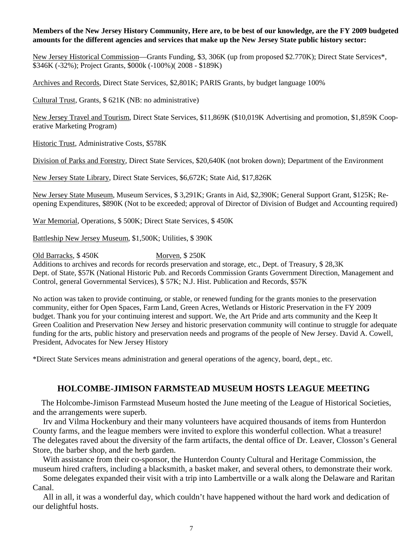#### **Members of the New Jersey History Community, Here are, to be best of our knowledge, are the FY 2009 budgeted amounts for the different agencies and services that make up the New Jersey State public history sector:**

New Jersey Historical Commission—Grants Funding, \$3, 306K (up from proposed \$2.770K); Direct State Services\*, \$346K (-32%); Project Grants, \$000k (-100%)( 2008 - \$189K)

Archives and Records, Direct State Services, \$2,801K; PARIS Grants, by budget language 100%

Cultural Trust, Grants, \$ 621K (NB: no administrative)

New Jersey Travel and Tourism, Direct State Services, \$11,869K (\$10,019K Advertising and promotion, \$1,859K Cooperative Marketing Program)

Historic Trust, Administrative Costs, \$578K

Division of Parks and Forestry, Direct State Services, \$20,640K (not broken down); Department of the Environment

New Jersey State Library, Direct State Services, \$6,672K; State Aid, \$17,826K

New Jersey State Museum, Museum Services, \$ 3,291K; Grants in Aid, \$2,390K; General Support Grant, \$125K; Reopening Expenditures, \$890K (Not to be exceeded; approval of Director of Division of Budget and Accounting required)

War Memorial, Operations, \$ 500K; Direct State Services, \$ 450K

Battleship New Jersey Museum, \$1,500K; Utilities, \$ 390K

Old Barracks, \$450K Morven, \$250K

Additions to archives and records for records preservation and storage, etc., Dept. of Treasury, \$ 28,3K Dept. of State, \$57K (National Historic Pub. and Records Commission Grants Government Direction, Management and Control, general Governmental Services), \$ 57K; N.J. Hist. Publication and Records, \$57K

No action was taken to provide continuing, or stable, or renewed funding for the grants monies to the preservation community, either for Open Spaces, Farm Land, Green Acres, Wetlands or Historic Preservation in the FY 2009 budget. Thank you for your continuing interest and support. We, the Art Pride and arts community and the Keep It Green Coalition and Preservation New Jersey and historic preservation community will continue to struggle for adequate funding for the arts, public history and preservation needs and programs of the people of New Jersey. David A. Cowell, President, Advocates for New Jersey History

\*Direct State Services means administration and general operations of the agency, board, dept., etc.

#### **HOLCOMBE-JIMISON FARMSTEAD MUSEUM HOSTS LEAGUE MEETING**

 The Holcombe-Jimison Farmstead Museum hosted the June meeting of the League of Historical Societies, and the arrangements were superb.

 Irv and Vilma Hockenbury and their many volunteers have acquired thousands of items from Hunterdon County farms, and the league members were invited to explore this wonderful collection. What a treasure! The delegates raved about the diversity of the farm artifacts, the dental office of Dr. Leaver, Closson's General Store, the barber shop, and the herb garden.

 With assistance from their co-sponsor, the Hunterdon County Cultural and Heritage Commission, the museum hired crafters, including a blacksmith, a basket maker, and several others, to demonstrate their work.

 Some delegates expanded their visit with a trip into Lambertville or a walk along the Delaware and Raritan Canal.

 All in all, it was a wonderful day, which couldn't have happened without the hard work and dedication of our delightful hosts.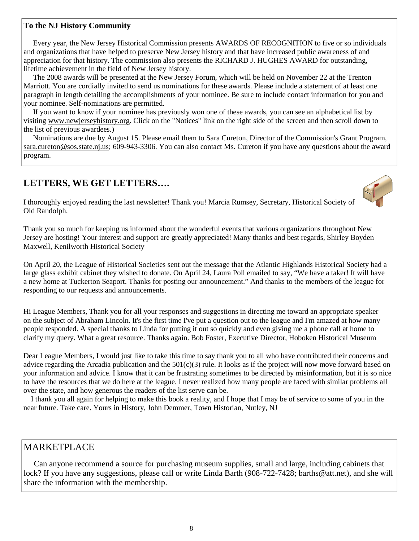#### **To the NJ History Community**

 Every year, the New Jersey Historical Commission presents AWARDS OF RECOGNITION to five or so individuals and organizations that have helped to preserve New Jersey history and that have increased public awareness of and appreciation for that history. The commission also presents the RICHARD J. HUGHES AWARD for outstanding, lifetime achievement in the field of New Jersey history.

 The 2008 awards will be presented at the New Jersey Forum, which will be held on November 22 at the Trenton Marriott. You are cordially invited to send us nominations for these awards. Please include a statement of at least one paragraph in length detailing the accomplishments of your nominee. Be sure to include contact information for you and your nominee. Self-nominations are permitted.

 If you want to know if your nominee has previously won one of these awards, you can see an alphabetical list by visiting www.newjerseyhistory.org. Click on the "Notices" link on the right side of the screen and then scroll down to the list of previous awardees.)

 Nominations are due by August 15. Please email them to Sara Cureton, Director of the Commission's Grant Program, sara.cureton@sos.state.nj.us; 609-943-3306. You can also contact Ms. Cureton if you have any questions about the award program.

# **LETTERS, WE GET LETTERS….**



I thoroughly enjoyed reading the last newsletter! Thank you! Marcia Rumsey, Secretary, Historical Society of Old Randolph.

Thank you so much for keeping us informed about the wonderful events that various organizations throughout New Jersey are hosting! Your interest and support are greatly appreciated! Many thanks and best regards, Shirley Boyden Maxwell, Kenilworth Historical Society

On April 20, the League of Historical Societies sent out the message that the Atlantic Highlands Historical Society had a large glass exhibit cabinet they wished to donate. On April 24, Laura Poll emailed to say, "We have a taker! It will have a new home at Tuckerton Seaport. Thanks for posting our announcement." And thanks to the members of the league for responding to our requests and announcements.

Hi League Members, Thank you for all your responses and suggestions in directing me toward an appropriate speaker on the subject of Abraham Lincoln. It's the first time I've put a question out to the league and I'm amazed at how many people responded. A special thanks to Linda for putting it out so quickly and even giving me a phone call at home to clarify my query. What a great resource. Thanks again. Bob Foster, Executive Director, Hoboken Historical Museum

Dear League Members, I would just like to take this time to say thank you to all who have contributed their concerns and advice regarding the Arcadia publication and the  $501(c)(3)$  rule. It looks as if the project will now move forward based on your information and advice. I know that it can be frustrating sometimes to be directed by misinformation, but it is so nice to have the resources that we do here at the league. I never realized how many people are faced with similar problems all over the state, and how generous the readers of the list serve can be.

 I thank you all again for helping to make this book a reality, and I hope that I may be of service to some of you in the near future. Take care. Yours in History, John Demmer, Town Historian, Nutley, NJ

#### MARKETPLACE

 Can anyone recommend a source for purchasing museum supplies, small and large, including cabinets that lock? If you have any suggestions, please call or write Linda Barth (908-722-7428; barths@att.net), and she will share the information with the membership.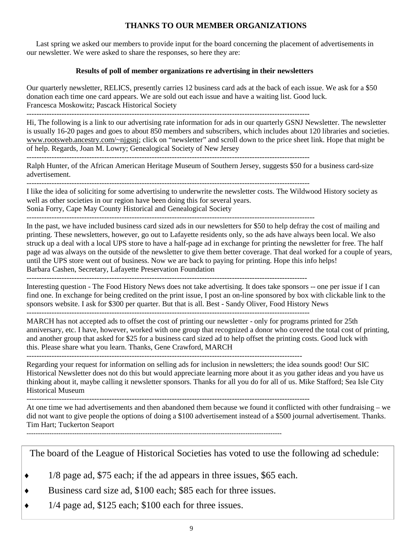#### **THANKS TO OUR MEMBER ORGANIZATIONS**

 Last spring we asked our members to provide input for the board concerning the placement of advertisements in our newsletter. We were asked to share the responses, so here they are:

#### **Results of poll of member organizations re advertising in their newsletters**

Our quarterly newsletter, RELICS, presently carries 12 business card ads at the back of each issue. We ask for a \$50 donation each time one card appears. We are sold out each issue and have a waiting list. Good luck. Francesca Moskowitz; Pascack Historical Society

Hi, The following is a link to our advertising rate information for ads in our quarterly GSNJ Newsletter. The newsletter is usually 16-20 pages and goes to about 850 members and subscribers, which includes about 120 libraries and societies. www.rootsweb.ancestry.com/~njgsnj; click on "newsletter" and scroll down to the price sheet link. Hope that might be of help. Regards, Joan M. Lowry; Genealogical Society of New Jersey

----------------------------------------------------------------------------------------------------------------- Ralph Hunter, of the African American Heritage Museum of Southern Jersey, suggests \$50 for a business card-size

advertisement. -----------------------------------------------------------------------------------------------------------------

I like the idea of soliciting for some advertising to underwrite the newsletter costs. The Wildwood History society as well as other societies in our region have been doing this for several years.

Sonia Forry, Cape May County Historical and Genealogical Society

-------------------------------------------------------------------------------------------------------------------

In the past, we have included business card sized ads in our newsletters for \$50 to help defray the cost of mailing and printing. These newsletters, however, go out to Lafayette residents only, so the ads have always been local. We also struck up a deal with a local UPS store to have a half-page ad in exchange for printing the newsletter for free. The half page ad was always on the outside of the newsletter to give them better coverage. That deal worked for a couple of years, until the UPS store went out of business. Now we are back to paying for printing. Hope this info helps! Barbara Cashen, Secretary, Lafayette Preservation Foundation

----------------------------------------------------------------------------------------------------------------

Interesting question - The Food History News does not take advertising. It does take sponsors -- one per issue if I can find one. In exchange for being credited on the print issue, I post an on-line sponsored by box with clickable link to the sponsors website. I ask for \$300 per quarter. But that is all. Best - Sandy Oliver, Food History News -----------------------------------------------------------------------------------------------------------------

MARCH has not accepted ads to offset the cost of printing our newsletter - only for programs printed for 25th anniversary, etc. I have, however, worked with one group that recognized a donor who covered the total cost of printing, and another group that asked for \$25 for a business card sized ad to help offset the printing costs. Good luck with this. Please share what you learn. Thanks, Gene Crawford, MARCH

--------------------------------------------------------------------------------------------------------------

Regarding your request for information on selling ads for inclusion in newsletters; the idea sounds good! Our SIC Historical Newsletter does not do this but would appreciate learning more about it as you gather ideas and you have us thinking about it, maybe calling it newsletter sponsors. Thanks for all you do for all of us. Mike Stafford; Sea Isle City Historical Museum

-----------------------------------------------------------------------------------------------------------------

At one time we had advertisements and then abandoned them because we found it conflicted with other fundraising – we did not want to give people the options of doing a \$100 advertisement instead of a \$500 journal advertisement. Thanks. Tim Hart; Tuckerton Seaport

----------------------------------------------------------------------------------------------------------------

The board of the League of Historical Societies has voted to use the following ad schedule:

- $1/8$  page ad, \$75 each; if the ad appears in three issues, \$65 each.
- Business card size ad, \$100 each; \$85 each for three issues.
- $\bullet$  1/4 page ad, \$125 each; \$100 each for three issues.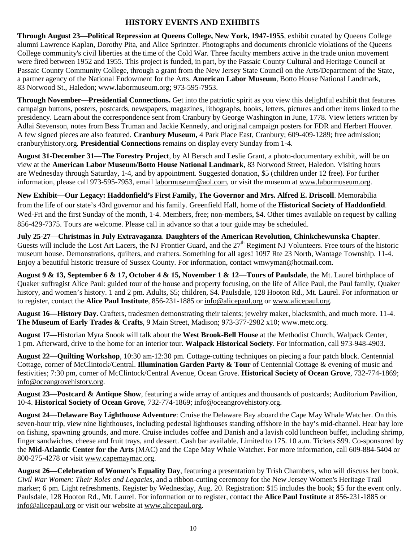#### **HISTORY EVENTS AND EXHIBITS**

**Through August 23—Political Repression at Queens College, New York, 1947-1955**, exhibit curated by Queens College alumni Lawrence Kaplan, Dorothy Pita, and Alice Sprintzer. Photographs and documents chronicle violations of the Queens College community's civil liberties at the time of the Cold War. Three faculty members active in the trade union movement were fired between 1952 and 1955. This project is funded, in part, by the Passaic County Cultural and Heritage Council at Passaic County Community College, through a grant from the New Jersey State Council on the Arts/Department of the State, a partner agency of the National Endowment for the Arts. **American Labor Museum**, Botto House National Landmark, 83 Norwood St., Haledon; www.labormuseum.org; 973-595-7953.

**Through November—Presidential Connections.** Get into the patriotic spirit as you view this delightful exhibit that features campaign buttons, posters, postcards, newspapers, magazines, lithographs, books, letters, pictures and other items linked to the presidency. Learn about the correspondence sent from Cranbury by George Washington in June, 1778. View letters written by Adlai Stevenson, notes from Bess Truman and Jackie Kennedy, and original campaign posters for FDR and Herbert Hoover. A few signed pieces are also featured. **Cranbury Museum,** 4 Park Place East, Cranbury; 609-409-1289; free admission; cranburyhistory.org*.* **Presidential Connections** remains on display every Sunday from 1-4.

**August 31-December 31—The Forestry Project**, by Al Bersch and Leslie Grant, a photo-documentary exhibit, will be on view at the **American Labor Museum/Botto House National Landmark**, 83 Norwood Street, Haledon. Visiting hours are Wednesday through Saturday, 1-4, and by appointment. Suggested donation, \$5 (children under 12 free). For further information, please call 973-595-7953, email labormuseum@aol.com, or visit the museum at www.labormuseum.org.

**New Exhibit—Our Legacy: Haddonfield's First Family, The Governor and Mrs. Alfred E. Driscoll**. Memorabilia from the life of our state's 43rd governor and his family. Greenfield Hall, home of the **Historical Society of Haddonfield**. Wed-Fri and the first Sunday of the month, 1-4. Members, free; non-members, \$4. Other times available on request by calling 856-429-7375. Tours are welcome. Please call in advance so that a tour guide may be scheduled.

**July 25-27**—**Christmas in July Extravaganza**. **Daughters of the American Revolution, Chinkchewunska Chapter**. Guests will include the Lost Art Lacers, the NJ Frontier Guard, and the 27<sup>th</sup> Regiment NJ Volunteers. Free tours of the historic museum house. Demonstrations, quilters, and crafters. Something for all ages! 1097 Rte 23 North, Wantage Township. 11-4. Enjoy a beautiful historic treasure of Sussex County. For information, contact wmwyman@hotmail.com.

**August 9 & 13, September 6 & 17, October 4 & 15, November 1 & 12**—**Tours of Paulsdale**, the Mt. Laurel birthplace of Quaker suffragist Alice Paul: guided tour of the house and property focusing, on the life of Alice Paul, the Paul family, Quaker history, and women's history. 1 and 2 pm. Adults, \$5; children, \$4. Paulsdale, 128 Hooton Rd., Mt. Laurel. For information or to register, contact the **Alice Paul Institute**, 856-231-1885 or info@alicepaul.org or www.alicepaul.org.

**August 16—History Day.** Crafters, tradesmen demonstrating their talents; jewelry maker, blacksmith, and much more. 11-4. **The Museum of Early Trades & Crafts**, 9 Main Street, Madison; 973-377-2982 x10; www.metc.org.

**August 17—**Historian Myra Snook will talk about the **West Brook-Bell House** at the Methodist Church, Walpack Center, 1 pm. Afterward, drive to the home for an interior tour. **Walpack Historical Society**. For information, call 973-948-4903.

**August 22—Quilting Workshop**, 10:30 am-12:30 pm. Cottage-cutting techniques on piecing a four patch block. Centennial Cottage, corner of McClintock/Central. **Illumination Garden Party & Tour** of Centennial Cottage & evening of music and festivities; 7:30 pm, corner of McClintock/Central Avenue, Ocean Grove. **Historical Society of Ocean Grove**, 732-774-1869; info@oceangrovehistory.org.

**August 23—Postcard & Antique Show**, featuring a wide array of antiques and thousands of postcards; Auditorium Pavilion, 10-4. **Historical Society of Ocean Grove**, 732-774-1869; info@oceangrovehistory.org.

**August 24**—**Delaware Bay Lighthouse Adventure**: Cruise the Delaware Bay aboard the Cape May Whale Watcher. On this seven-hour trip, view nine lighthouses, including pedestal lighthouses standing offshore in the bay's mid-channel. Hear bay lore on fishing, spawning grounds, and more. Cruise includes coffee and Danish and a lavish cold luncheon buffet, including shrimp, finger sandwiches, cheese and fruit trays, and dessert. Cash bar available. Limited to 175. 10 a.m. Tickets \$99. Co-sponsored by the **Mid-Atlantic Center for the Arts** (MAC) and the Cape May Whale Watcher. For more information, call 609-884-5404 or 800-275-4278 or visit www.capemaymac.org.

**August 26—Celebration of Women's Equality Day**, featuring a presentation by Trish Chambers, who will discuss her book, *Civil War Women: Their Roles and Legacies,* and a ribbon-cutting ceremony for the New Jersey Women's Heritage Trail marker; 6 pm. Light refreshments. Register by Wednesday, Aug. 20. Registration: \$15 includes the book; \$5 for the event only. Paulsdale, 128 Hooton Rd., Mt. Laurel. For information or to register, contact the **Alice Paul Institute** at 856-231-1885 or info@alicepaul.org or visit our website at www.alicepaul.org.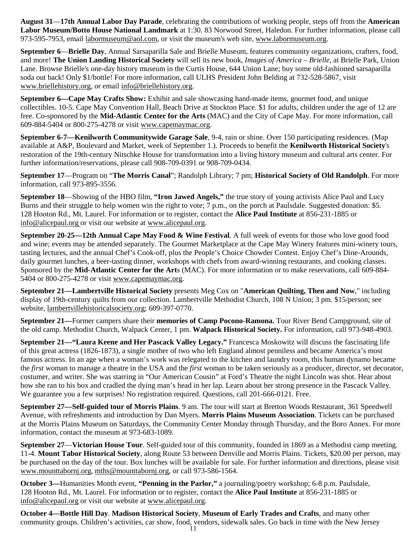**August 31**—**17th Annual Labor Day Parade**, celebrating the contributions of working people, steps off from the **American Labor Museum/Botto House National Landmark** at 1:30. 83 Norwood Street, Haledon. For further information, please call 973-595-7953, email labormuseum@aol.com, or visit the museum's web site, www.labormuseum.org.

**September 6**—**Brielle Day**, Annual Sarsaparilla Sale and Brielle Museum, features community organizations, crafters, food, and more! **The Union Landing Historical Society** will sell its new book, *Images of America – Brielle*, at Brielle Park, Union Lane. Browse Brielle's one-day history museum in the Curtis House, 644 Union Lane; buy some old-fashioned sarsaparilla soda out back! Only \$1/bottle! For more information, call ULHS President John Belding at 732-528-5867, visit www.briellehistory.org, or email info@briellehistory.org.

**September 6—Cape May Crafts Show:** Exhibit and sale showcasing hand-made items, gourmet food, and unique collectibles. 10-5. Cape May Convention Hall, Beach Drive at Stockton Place. \$1 for adults, children under the age of 12 are free. Co-sponsored by the **Mid-Atlantic Center for the Arts** (MAC) and the City of Cape May. For more information, call 609-884-5404 or 800-275-4278 or visit www.capemaymac.org.

**September 6-7—Kenilworth Communitywide Garage Sale**, 9-4, rain or shine. Over 150 participating residences. (Map available at A&P, Boulevard and Market, week of September 1.). Proceeds to benefit the **Kenilworth Historical Society**'s restoration of the 19th-century Nitschke House for transformation into a living history museum and cultural arts center. For further information/reservations, please call 908-709-0391 or 908-709-0434.

**September 17**—Program on "**The Morris Canal**"; Randolph Library; 7 pm; **Historical Society of Old Randolph**. For more information, call 973-895-3556.

**September 18**—Showing of the HBO film, **"Iron Jawed Angels,"** the true story of young activists Alice Paul and Lucy Burns and their struggle to help women win the right to vote; 7 p.m., on the porch at Paulsdale. Suggested donation: \$5. 128 Hooton Rd., Mt. Laurel. For information or to register, contact the **Alice Paul Institute** at 856-231-1885 or info@alicepaul.org or visit our website at www.alicepaul.org.

**September 20-25—12th Annual Cape May Food & Wine Festival**. A full week of events for those who love good food and wine; events may be attended separately. The Gourmet Marketplace at the Cape May Winery features mini-winery tours, tasting lectures, and the annual Chef's Cook-off, plus the People's Choice Chowder Contest. Enjoy Chef's Dine-Arounds, daily gourmet lunches, a beer-tasting dinner, workshops with chefs from award-winning restaurants, and cooking classes. Sponsored by the **Mid-Atlantic Center for the Art**s (MAC). For more information or to make reservations, call 609-884- 5404 or 800-275-4278 or visit www.capemaymac.org.

**September 21—Lambertville Historical Society** presents Meg Cox on "**American Quilting, Then and Now**," including display of 19th-century quilts from our collection. Lambertville Methodist Church, 108 N Union; 3 pm. \$15/person; see website, lambertvillehistoricalsociety.org; 609-397-0770.

**September 21—**Former campers share their **memories of Camp Pocono-Ramona.** Tour River Bend Campground, site of the old camp. Methodist Church, Walpack Center, 1 pm. **Walpack Historical Society.** For information, call 973-948-4903.

**September 21—"Laura Keene and Her Pascack Valley Legacy."** Francesca Moskowitz will discuss the fascinating life of this great actress (1826-1873), a single mother of two who left England almost penniless and became America's most famous actress. In an age when a woman's work was relegated to the kitchen and laundry room, this human dynamo became the *first* woman to manage a theatre in the USA and the *first* woman to be taken seriously as a producer, director, set decorator, costumer, and writer. She was starring in "Our American Cousin" at Ford's Theatre the night Lincoln was shot. Hear about how she ran to his box and cradled the dying man's head in her lap. Learn about her strong presence in the Pascack Valley. We guarantee you a few surprises! No registration required. Questions, call 201-666-0121. Free.

**September 27—Self-guided tour of Morris Plains**. 9 am. The tour will start at Bretton Woods Restaurant, 361 Speedwell Avenue, with refreshments and introduction by Dan Myers. **Morris Plains Museum Association**. Tickets can be purchased at the Morris Plains Museum on Saturdays, the Community Center Monday through Thursday, and the Boro Annex. For more information, contact the museum at 973-683-1089.

**September 27**—**Victorian House Tour**. Self-guided tour of this community, founded in 1869 as a Methodist camp meeting. 11-4. **Mount Tabor Historical Society**, along Route 53 between Denville and Morris Plains. Tickets, \$20.00 per person, may be purchased on the day of the tour. Box lunches will be available for sale. For further information and directions, please visit www.mounttabornj.org, mths@mounttabornj.org, or call 973-586-1564.

**October 3—**Humanities Month event, **"Penning in the Parlor,"** a journaling/poetry workshop; 6-8 p.m. Paulsdale, 128 Hooton Rd., Mt. Laurel. For information or to register, contact the **Alice Paul Institute** at 856-231-1885 or info@alicepaul.org or visit our website at www.alicepaul.org.

**October 4—Bottle Hill Day**. **Madison Historical Society**, **Museum of Early Trades and Crafts**, and many other community groups. Children's activities, car show, food, vendors, sidewalk sales. Go back in time with the New Jersey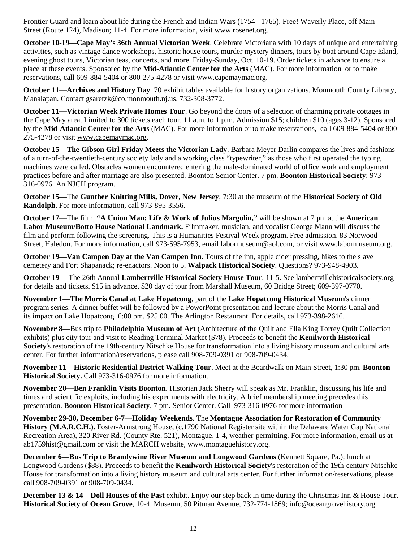Frontier Guard and learn about life during the French and Indian Wars (1754 - 1765). Free! Waverly Place, off Main Street (Route 124), Madison; 11-4. For more information, visit www.rosenet.org.

**October 10-19—Cape May's 36th Annual Victorian Week**. Celebrate Victoriana with 10 days of unique and entertaining activities, such as vintage dance workshops, historic house tours, murder mystery dinners, tours by boat around Cape Island, evening ghost tours, Victorian teas, concerts, and more. Friday-Sunday, Oct. 10-19. Order tickets in advance to ensure a place at these events. Sponsored by the **Mid-Atlantic Center for the Arts** (MAC). For more information or to make reservations, call 609-884-5404 or 800-275-4278 or visit www.capemaymac.org.

**October 11—Archives and History Day**. 70 exhibit tables available for history organizations. Monmouth County Library, Manalapan. Contact gsaretzk@co.monmouth.nj.us, 732-308-3772.

**October 11—Victorian Week Private Homes Tour**. Go beyond the doors of a selection of charming private cottages in the Cape May area. Limited to 300 tickets each tour. 11 a.m. to 1 p.m. Admission \$15; children \$10 (ages 3-12). Sponsored by the **Mid-Atlantic Center for the Arts** (MAC). For more information or to make reservations, call 609-884-5404 or 800- 275-4278 or visit www.capemaymac.org.

**October 15**—**The Gibson Girl Friday Meets the Victorian Lady**. Barbara Meyer Darlin compares the lives and fashions of a turn-of-the-twentieth-century society lady and a working class "typewriter," as those who first operated the typing machines were called. Obstacles women encountered entering the male-dominated world of office work and employment practices before and after marriage are also presented. Boonton Senior Center. 7 pm. **Boonton Historical Society**; 973- 316-0976. An NJCH program.

**October 15—**The **Gunther Knitting Mills, Dover, New Jersey**; 7:30 at the museum of the **Historical Society of Old Randolph.** For more information, call 973-895-3556.

**October 17—**The film, **"A Union Man: Life & Work of Julius Margolin,"** will be shown at 7 pm at the **American Labor Museum/Botto House National Landmark.** Filmmaker, musician, and vocalist George Mann will discuss the film and perform following the screening. This is a Humanities Festival Week program. Free admission. 83 Norwood Street, Haledon. For more information, call 973-595-7953, email labormuseum@aol.com, or visit www.labormuseum.org.

**October 19—Van Campen Day at the Van Campen Inn.** Tours of the inn, apple cider pressing, hikes to the slave cemetery and Fort Shapanack; re-enactors. Noon to 5. **Walpack Historical Society**. Questions? 973-948-4903.

**October 19**— The 26th Annual **Lambertville Historical Society House Tour**, 11-5. See lambertvillehistoricalsociety.org for details and tickets. \$15 in advance, \$20 day of tour from Marshall Museum, 60 Bridge Street; 609-397-0770.

**November 1—The Morris Canal at Lake Hopatcong**, part of the **Lake Hopatcong Historical Museum**'s dinner program series. A dinner buffet will be followed by a PowerPoint presentation and lecture about the Morris Canal and its impact on Lake Hopatcong. 6:00 pm. \$25.00. The Arlington Restaurant. For details, call 973-398-2616.

**November 8—**Bus trip to **Philadelphia Museum of Art** (Architecture of the Quilt and Ella King Torrey Quilt Collection exhibits) plus city tour and visit to Reading Terminal Market (\$78). Proceeds to benefit the **Kenilworth Historical Society**'s restoration of the 19th-century Nitschke House for transformation into a living history museum and cultural arts center. For further information/reservations, please call 908-709-0391 or 908-709-0434.

**November 11—Historic Residential District Walking Tour**. Meet at the Boardwalk on Main Street, 1:30 pm. **Boonton Historical Society.** Call 973-316-0976 for more information.

**November 20—Ben Franklin Visits Boonton**. Historian Jack Sherry will speak as Mr. Franklin, discussing his life and times and scientific exploits, including his experiments with electricity. A brief membership meeting precedes this presentation. **Boonton Historical Society**. 7 pm. Senior Center. Call 973-316-0976 for more information

**November 29-30, December 6-7**—**Holiday Weekends**. The **Montague Association for Restoration of Community History** (**M.A.R.C.H.).** Foster-Armstrong House, (c.1790 National Register site within the Delaware Water Gap National Recreation Area), 320 River Rd. (County Rte. 521), Montague. 1-4, weather-permitting. For more information, email us at ab1759hist@gmail.com or visit the MARCH website, www.montaguehistory.org.

**December 6—Bus Trip to Brandywine River Museum and Longwood Gardens** (Kennett Square, Pa.); lunch at Longwood Gardens (\$88). Proceeds to benefit the **Kenilworth Historical Society**'s restoration of the 19th-century Nitschke House for transformation into a living history museum and cultural arts center. For further information/reservations, please call 908-709-0391 or 908-709-0434.

**December 13 & 14—Doll Houses of the Past** exhibit. Enjoy our step back in time during the Christmas Inn & House Tour. **Historical Society of Ocean Grove**, 10-4. Museum, 50 Pitman Avenue, 732-774-1869; info@oceangrovehistory.org.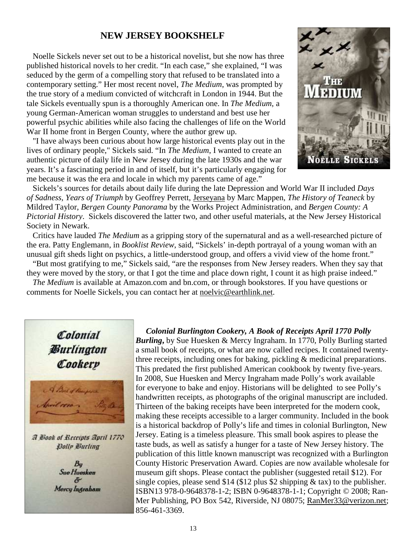#### **NEW JERSEY BOOKSHELF**

 Noelle Sickels never set out to be a historical novelist, but she now has three published historical novels to her credit. "In each case," she explained, "I was seduced by the germ of a compelling story that refused to be translated into a contemporary setting." Her most recent novel, *The Medium*, was prompted by the true story of a medium convicted of witchcraft in London in 1944. But the tale Sickels eventually spun is a thoroughly American one. In *The Medium*, a young German-American woman struggles to understand and best use her powerful psychic abilities while also facing the challenges of life on the World War II home front in Bergen County, where the author grew up.

 "I have always been curious about how large historical events play out in the lives of ordinary people," Sickels said. "In *The Medium*, I wanted to create an authentic picture of daily life in New Jersey during the late 1930s and the war years. It's a fascinating period in and of itself, but it's particularly engaging for me because it was the era and locale in which my parents came of age."



 Sickels's sources for details about daily life during the late Depression and World War II included *Days of Sadness, Years of Triumph* by Geoffrey Perrett, Jerseyana by Marc Mappen, *The History of Teaneck* by Mildred Taylor, *Bergen County Panorama* by the Works Project Administration, and *Bergen County: A Pictorial History*. Sickels discovered the latter two, and other useful materials, at the New Jersey Historical Society in Newark.

 Critics have lauded *The Medium* as a gripping story of the supernatural and as a well-researched picture of the era. Patty Englemann, in *Booklist Review*, said, "Sickels' in-depth portrayal of a young woman with an unusual gift sheds light on psychics, a little-understood group, and offers a vivid view of the home front."

 "But most gratifying to me," Sickels said, "are the responses from New Jersey readers. When they say that they were moved by the story, or that I got the time and place down right, I count it as high praise indeed."

*The Medium* is available at Amazon.com and bn.com, or through bookstores. If you have questions or comments for Noelle Sickels, you can contact her at noelvic@earthlink.net.



A Blook of Receipts April 1770 Polly Burling

> $B_{\rm U}$ **Sue Huesken**  $\delta$ Mercy Ingraham

#### *Colonial Burlington Cookery, A Book of Receipts April 1770 Polly*

*Burling***,** by Sue Huesken & Mercy Ingraham. In 1770, Polly Burling started a small book of receipts, or what are now called recipes. It contained twentythree receipts, including ones for baking, pickling & medicinal preparations. This predated the first published American cookbook by twenty five-years. In 2008, Sue Huesken and Mercy Ingraham made Polly's work available for everyone to bake and enjoy. Historians will be delighted to see Polly's handwritten receipts, as photographs of the original manuscript are included. Thirteen of the baking receipts have been interpreted for the modern cook, making these receipts accessible to a larger community. Included in the book is a historical backdrop of Polly's life and times in colonial Burlington, New Jersey. Eating is a timeless pleasure. This small book aspires to please the taste buds, as well as satisfy a hunger for a taste of New Jersey history. The publication of this little known manuscript was recognized with a Burlington County Historic Preservation Award. Copies are now available wholesale for museum gift shops. Please contact the publisher (suggested retail \$12). For single copies, please send \$14 (\$12 plus \$2 shipping  $\&$  tax) to the publisher. ISBN13 978-0-9648378-1-2; ISBN 0-9648378-1-1; Copyright © 2008; Ran-Mer Publishing, PO Box 542, Riverside, NJ 08075; RanMer33@verizon.net; 856-461-3369.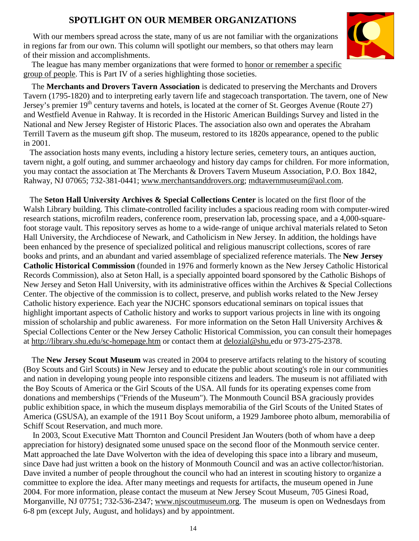# **SPOTLIGHT ON OUR MEMBER ORGANIZATIONS**

With our members spread across the state, many of us are not familiar with the organizations in regions far from our own. This column will spotlight our members, so that others may learn of their mission and accomplishments.



 The league has many member organizations that were formed to honor or remember a specific group of people. This is Part IV of a series highlighting those societies.

 The **Merchants and Drovers Tavern Association** is dedicated to preserving the Merchants and Drovers Tavern (1795-1820) and to interpreting early tavern life and stagecoach transportation. The tavern, one of New Jersey's premier 19<sup>th</sup> century taverns and hotels, is located at the corner of St. Georges Avenue (Route 27) and Westfield Avenue in Rahway. It is recorded in the Historic American Buildings Survey and listed in the National and New Jersey Register of Historic Places. The association also own and operates the Abraham Terrill Tavern as the museum gift shop. The museum, restored to its 1820s appearance, opened to the public in 2001.

 The association hosts many events, including a history lecture series, cemetery tours, an antiques auction, tavern night, a golf outing, and summer archaeology and history day camps for children. For more information, you may contact the association at The Merchants & Drovers Tavern Museum Association, P.O. Box 1842, Rahway, NJ 07065; 732-381-0441; www.merchantsanddrovers.org; mdtavernmuseum@aol.com.

 The **Seton Hall University Archives & Special Collections Center** is located on the first floor of the Walsh Library building. This climate-controlled facility includes a spacious reading room with computer-wired research stations, microfilm readers, conference room, preservation lab, processing space, and a 4,000-squarefoot storage vault. This repository serves as home to a wide-range of unique archival materials related to Seton Hall University, the Archdiocese of Newark, and Catholicism in New Jersey. In addition, the holdings have been enhanced by the presence of specialized political and religious manuscript collections, scores of rare books and prints, and an abundant and varied assemblage of specialized reference materials. The **New Jersey Catholic Historical Commission** (founded in 1976 and formerly known as the New Jersey Catholic Historical Records Commission), also at Seton Hall, is a specially appointed board sponsored by the Catholic Bishops of New Jersey and Seton Hall University, with its administrative offices within the Archives & Special Collections Center. The objective of the commission is to collect, preserve, and publish works related to the New Jersey Catholic history experience. Each year the NJCHC sponsors educational seminars on topical issues that highlight important aspects of Catholic history and works to support various projects in line with its ongoing mission of scholarship and public awareness. For more information on the Seton Hall University Archives & Special Collections Center or the New Jersey Catholic Historical Commission, you can consult their homepages at http://library.shu.edu/sc-homepage.htm or contact them at delozial@shu.edu or 973-275-2378.

 The **New Jersey Scout Museum** was created in 2004 to preserve artifacts relating to the history of scouting (Boy Scouts and Girl Scouts) in New Jersey and to educate the public about scouting's role in our communities and nation in developing young people into responsible citizens and leaders. The museum is not affiliated with the Boy Scouts of America or the Girl Scouts of the USA. All funds for its operating expenses come from donations and memberships ("Friends of the Museum"). The Monmouth Council BSA graciously provides public exhibition space, in which the museum displays memorabilia of the Girl Scouts of the United States of America (GSUSA), an example of the 1911 Boy Scout uniform, a 1929 Jamboree photo album, memorabilia of Schiff Scout Reservation, and much more.

 In 2003, Scout Executive Matt Thornton and Council President Jan Wouters (both of whom have a deep appreciation for history) designated some unused space on the second floor of the Monmouth service center. Matt approached the late Dave Wolverton with the idea of developing this space into a library and museum, since Dave had just written a book on the history of Monmouth Council and was an active collector/historian. Dave invited a number of people throughout the council who had an interest in scouting history to organize a committee to explore the idea. After many meetings and requests for artifacts, the museum opened in June 2004. For more information, please contact the museum at New Jersey Scout Museum, 705 Ginesi Road, Morganville, NJ 07751; 732-536-2347; www.njscoutmuseum.org. The museum is open on Wednesdays from 6-8 pm (except July, August, and holidays) and by appointment.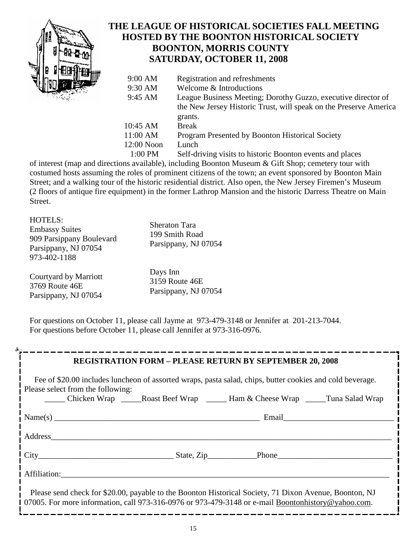

# **THE LEAGUE OF HISTORICAL SOCIETIES FALL MEETING HOSTED BY THE BOONTON HISTORICAL SOCIETY BOONTON, MORRIS COUNTY SATURDAY, OCTOBER 11, 2008**

| च। | $9:00$ AM    | Registration and refreshments                                     |
|----|--------------|-------------------------------------------------------------------|
|    | 9:30 AM      | Welcome & Introductions                                           |
|    | 9:45 AM      | League Business Meeting; Dorothy Guzzo, executive director of     |
|    |              | the New Jersey Historic Trust, will speak on the Preserve America |
|    |              | grants.                                                           |
|    | 10:45 AM     | <b>Break</b>                                                      |
|    | 11:00 AM     | Program Presented by Boonton Historical Society                   |
|    | $12:00$ Noon | Lunch                                                             |
|    | 1:00 PM      | Self-driving visits to historic Boonton events and places         |
|    |              |                                                                   |

of interest (map and directions available), including Boonton Museum & Gift Shop; cemetery tour with costumed hosts assuming the roles of prominent citizens of the town; an event sponsored by Boonton Main Street; and a walking tour of the historic residential district. Also open, the New Jersey Firemen's Museum (2 floors of antique fire equipment) in the former Lathrop Mansion and the historic Darress Theatre on Main Street.

| <b>HOTELS:</b><br><b>Embassy Suites</b><br>909 Parsippany Boulevard<br>Parsippany, NJ 07054<br>973-402-1188 | <b>Sheraton Tara</b><br>199 Smith Road<br>Parsippany, NJ 07054 |
|-------------------------------------------------------------------------------------------------------------|----------------------------------------------------------------|
| Courtyard by Marriott                                                                                       | Days Inn                                                       |
| 3769 Route 46E                                                                                              | 3159 Route 46E                                                 |
| Parsippany, NJ 07054                                                                                        | Parsippany, NJ 07054                                           |

For questions on October 11, please call Jayme at 973-479-3148 or Jennifer at 201-213-7044. For questions before October 11, please call Jennifer at 973-316-0976.

|                                                                                                                                                                                                                                                                                                                                                                 |  | <b>REGISTRATION FORM - PLEASE RETURN BY SEPTEMBER 20, 2008</b> |  |  |  |
|-----------------------------------------------------------------------------------------------------------------------------------------------------------------------------------------------------------------------------------------------------------------------------------------------------------------------------------------------------------------|--|----------------------------------------------------------------|--|--|--|
| Fee of \$20.00 includes luncheon of assorted wraps, pasta salad, chips, butter cookies and cold beverage.<br>Please select from the following:                                                                                                                                                                                                                  |  |                                                                |  |  |  |
|                                                                                                                                                                                                                                                                                                                                                                 |  |                                                                |  |  |  |
| $Name(s)$ $\qquad \qquad $ $\n    Email$ $\qquad \qquad $ $\n    Email$ $\qquad \qquad$ $\qquad$ $\qquad \qquad$ $\qquad$ $\qquad$ $\qquad \qquad$ $\qquad$ $\qquad \qquad$ $\qquad$ $\qquad$ $\qquad$ $\qquad$ $\qquad$ $\qquad$ $\qquad$ $\qquad$ $\qquad$ $\qquad$ $\qquad$ $\qquad$ $\qquad$ $\qquad$ $\qquad$ $\qquad$ $\qquad$ $\qquad$ $\qquad$ $\qquad$ |  |                                                                |  |  |  |
|                                                                                                                                                                                                                                                                                                                                                                 |  |                                                                |  |  |  |
|                                                                                                                                                                                                                                                                                                                                                                 |  |                                                                |  |  |  |
| Affiliation:                                                                                                                                                                                                                                                                                                                                                    |  |                                                                |  |  |  |
| Please send check for \$20.00, payable to the Boonton Historical Society, 71 Dixon Avenue, Boonton, NJ<br>1 07005. For more information, call 973-316-0976 or 973-479-3148 or e-mail Boonton history @ yahoo.com.                                                                                                                                               |  |                                                                |  |  |  |